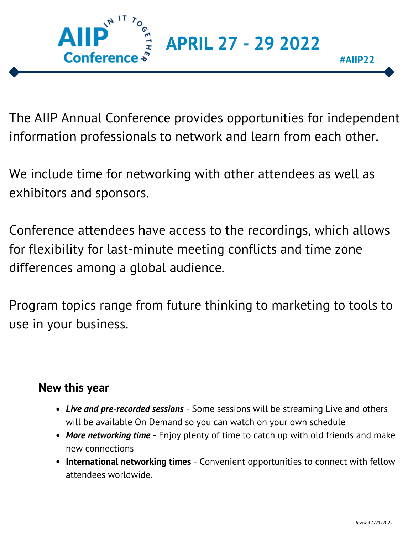

The AIIP Annual Conference provides opportunities for independent information professionals to network and learn from each other.

We include time for networking with other attendees as well as exhibitors and sponsors.

Conference attendees have access to the recordings, which allows for flexibility for last-minute meeting conflicts and time zone differences among a global audience.

Program topics range from future thinking to marketing to tools to use in your business.

### **New this year**

- *Live and pre-recorded sessions* Some sessions will be streaming Live and others will be available On Demand so you can watch on your own schedule
- *More networking time* Enjoy plenty of time to catch up with old friends and make new connections
- **International networking times** Convenient opportunities to connect with fellow attendees worldwide.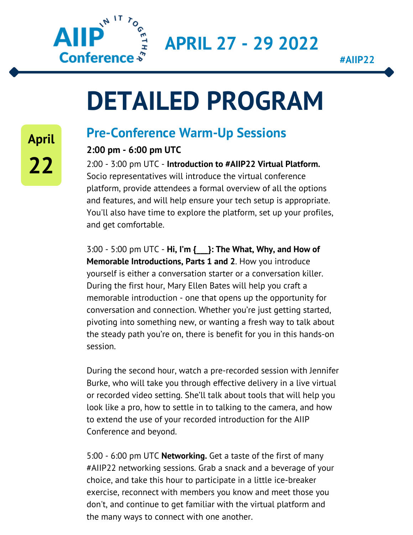

**#AIIP22**

## **DETAILED PROGRAM**

### **Pre-Conference Warm-Up Sessions**

### **2:00 pm - 6:00 pm UTC**

2:00 - 3:00 pm UTC - **Introduction to #AIIP22 Virtual Platform.** Socio representatives will introduce the virtual conference platform, provide attendees a formal overview of all the options and features, and will help ensure your tech setup is appropriate. You'll also have time to explore the platform, set up your profiles, and get comfortable.

3:00 - 5:00 pm UTC - **Hi, I'm {\_\_\_}: The What, Why, and How of Memorable Introductions, Parts 1 and 2**. How you introduce yourself is either a conversation starter or a conversation killer. During the first hour, Mary Ellen Bates will help you craft a memorable introduction - one that opens up the opportunity for conversation and connection. Whether you're just getting started, pivoting into something new, or wanting a fresh way to talk about the steady path you're on, there is benefit for you in this hands-on session.

During the second hour, watch a pre-recorded session with Jennifer Burke, who will take you through effective delivery in a live virtual or recorded video setting. She'll talk about tools that will help you look like a pro, how to settle in to talking to the camera, and how to extend the use of your recorded introduction for the AIIP Conference and beyond.

5:00 - 6:00 pm UTC **Networking.** Get a taste of the first of many #AIIP22 networking sessions. Grab a snack and a beverage of your choice, and take this hour to participate in a little ice-breaker exercise, reconnect with members you know and meet those you don't, and continue to get familiar with the virtual platform and the many ways to connect with one another.

**April 22**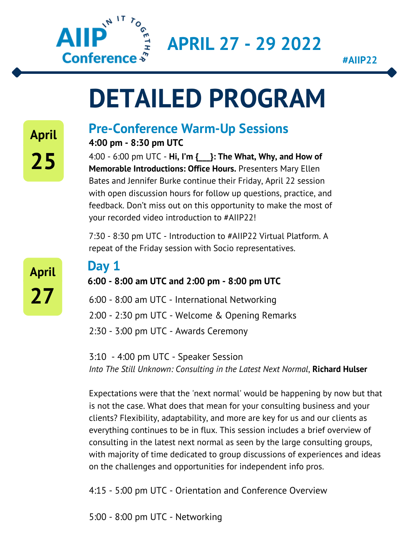

**#AIIP22**

## **DETAILED PROGRAM**

## **Pre-Conference Warm-Up Sessions**

**4:00 pm - 8:30 pm UTC**

4:00 - 6:00 pm UTC - **Hi, I'm {\_\_\_}: The What, Why, and How of Memorable Introductions: Office Hours.** Presenters Mary Ellen Bates and Jennifer Burke continue their Friday, April 22 session with open discussion hours for follow up questions, practice, and feedback. Don't miss out on this opportunity to make the most of your recorded video introduction to #AIIP22!

7:30 - 8:30 pm UTC - Introduction to #AIIP22 Virtual Platform. A repeat of the Friday session with Socio representatives.

**April 27**

## **Day 1**

**6:00 - 8:00 am UTC and 2:00 pm - 8:00 pm UTC**

6:00 - 8:00 am UTC - International Networking

2:00 - 2:30 pm UTC - Welcome & Opening Remarks

2:30 - 3:00 pm UTC - Awards Ceremony

3:10 - 4:00 pm UTC - Speaker Session *Into The Still Unknown: Consulting in the Latest Next Normal*, **Richard Hulser**

Expectations were that the 'next normal' would be happening by now but that is not the case. What does that mean for your consulting business and your clients? Flexibility, adaptability, and more are key for us and our clients as everything continues to be in flux. This session includes a brief overview of consulting in the latest next normal as seen by the large consulting groups, with majority of time dedicated to group discussions of experiences and ideas on the challenges and opportunities for independent info pros.

4:15 - 5:00 pm UTC - Orientation and Conference Overview

5:00 - 8:00 pm UTC - Networking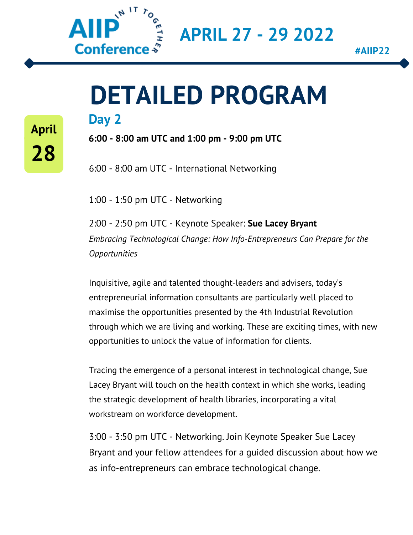

**April**

**28**

**APRIL 27 - 29 2022**

## **Day 2 DETAILED PROGRAM**

**6:00 - 8:00 am UTC and 1:00 pm - 9:00 pm UTC**

6:00 - 8:00 am UTC - International Networking

1:00 - 1:50 pm UTC - Networking

2:00 - 2:50 pm UTC - Keynote Speaker: **Sue Lacey Bryant** *Embracing Technological Change: How Info-Entrepreneurs Can Prepare for the Opportunities*

Inquisitive, agile and talented thought-leaders and advisers, today's entrepreneurial information consultants are particularly well placed to maximise the opportunities presented by the 4th Industrial Revolution through which we are living and working. These are exciting times, with new opportunities to unlock the value of information for clients.

Tracing the emergence of a personal interest in technological change, Sue Lacey Bryant will touch on the health context in which she works, leading the strategic development of health libraries, incorporating a vital workstream on workforce development.

3:00 - 3:50 pm UTC - Networking. Join Keynote Speaker Sue Lacey Bryant and your fellow attendees for a guided discussion about how we as info-entrepreneurs can embrace technological change.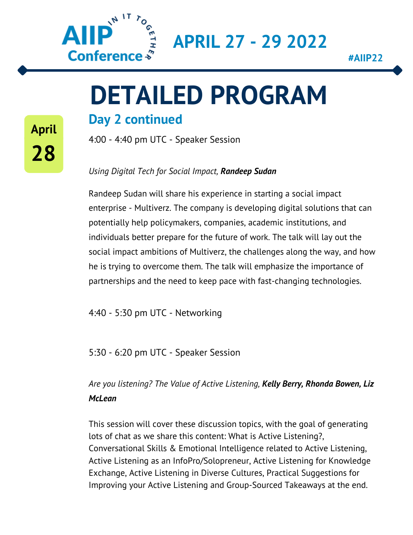

**#AIIP22**

# **DETAILED PROGRAM**

### **Day 2 continued**

4:00 - 4:40 pm UTC - Speaker Session

#### *Using Digital Tech for Social Impact, Randeep Sudan*

Randeep Sudan will share his experience in starting a social impact enterprise - Multiverz. The company is developing digital solutions that can potentially help policymakers, companies, academic institutions, and individuals better prepare for the future of work. The talk will lay out the social impact ambitions of Multiverz, the challenges along the way, and how he is trying to overcome them. The talk will emphasize the importance of partnerships and the need to keep pace with fast-changing technologies.

4:40 - 5:30 pm UTC - Networking

5:30 - 6:20 pm UTC - Speaker Session

*Are you listening? The Value of Active Listening, Kelly Berry, Rhonda Bowen, Liz McLean*

This session will cover these discussion topics, with the goal of generating lots of chat as we share this content: What is Active Listening?, Conversational Skills & Emotional Intelligence related to Active Listening, Active Listening as an InfoPro/Solopreneur, Active Listening for Knowledge Exchange, Active Listening in Diverse Cultures, Practical Suggestions for Improving your Active Listening and Group-Sourced Takeaways at the end.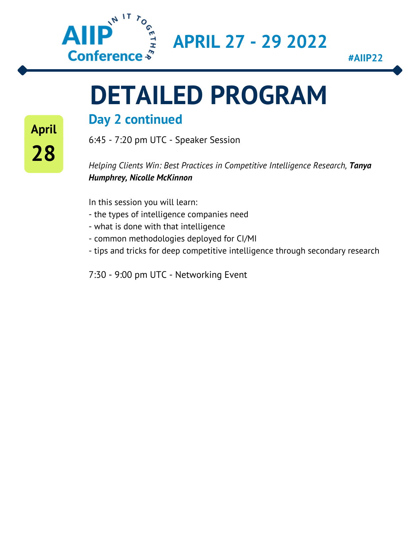

**#AIIP22**

# **DETAILED PROGRAM**

### **Day 2 continued**

6:45 - 7:20 pm UTC - Speaker Session

*Helping Clients Win: Best Practices in Competitive Intelligence Research, Tanya Humphrey, Nicolle McKinnon*

In this session you will learn:

- the types of intelligence companies need
- what is done with that intelligence
- common methodologies deployed for CI/MI
- tips and tricks for deep competitive intelligence through secondary research

7:30 - 9:00 pm UTC - Networking Event

**April 28**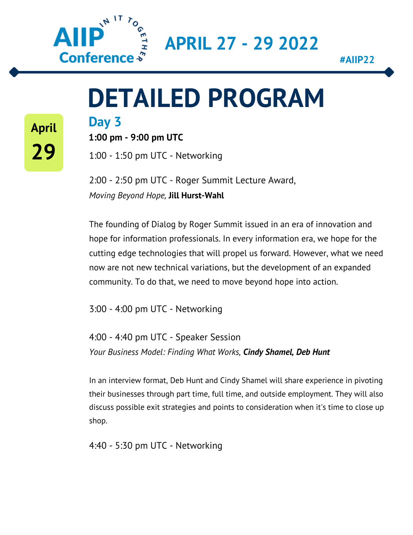

**#AIIP22**

## **DETAILED PROGRAM**

**April 29**

**Day 3**

**1:00 pm - 9:00 pm UTC**

1:00 - 1:50 pm UTC - Networking

2:00 - 2:50 pm UTC - Roger Summit Lecture Award, *Moving Beyond Hope,* **Jill Hurst-Wahl**

The founding of Dialog by Roger Summit issued in an era of innovation and hope for information professionals. In every information era, we hope for the cutting edge technologies that will propel us forward. However, what we need now are not new technical variations, but the development of an expanded community. To do that, we need to move beyond hope into action.

3:00 - 4:00 pm UTC - Networking

4:00 - 4:40 pm UTC - Speaker Session *Your Business Model: Finding What Works, Cindy Shamel, Deb Hunt*

In an interview format, Deb Hunt and Cindy Shamel will share experience in pivoting their businesses through part time, full time, and outside employment. They will also discuss possible exit strategies and points to consideration when it's time to close up shop.

4:40 - 5:30 pm UTC - Networking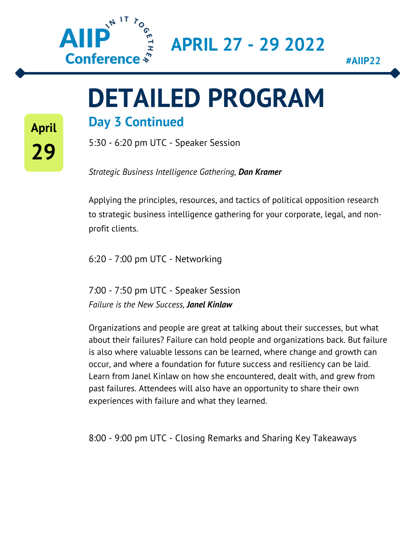

**#AIIP22**

# **DETAILED PROGRAM**

### **Day 3 Continued**

**April**

**29**

5:30 - 6:20 pm UTC - Speaker Session

*Strategic Business Intelligence Gathering, Dan Kramer*

Applying the principles, resources, and tactics of political opposition research to strategic business intelligence gathering for your corporate, legal, and nonprofit clients.

6:20 - 7:00 pm UTC - Networking

7:00 - 7:50 pm UTC - Speaker Session *Failure is the New Success, Janel Kinlaw*

Organizations and people are great at talking about their successes, but what about their failures? Failure can hold people and organizations back. But failure is also where valuable lessons can be learned, where change and growth can occur, and where a foundation for future success and resiliency can be laid. Learn from Janel Kinlaw on how she encountered, dealt with, and grew from past failures. Attendees will also have an opportunity to share their own experiences with failure and what they learned.

8:00 - 9:00 pm UTC - Closing Remarks and Sharing Key Takeaways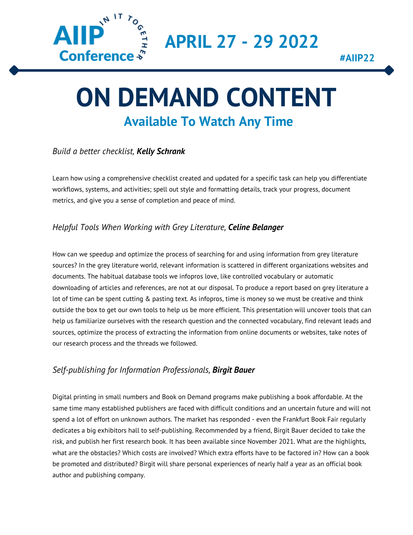

## **Available To Watch Any Time ON DEMAND CONTENT**

#### *Build a better checklist, Kelly Schrank*

Learn how using a comprehensive checklist created and updated for a specific task can help you differentiate workflows, systems, and activities; spell out style and formatting details, track your progress, document metrics, and give you a sense of completion and peace of mind.

#### *Helpful Tools When Working with Grey Literature, Celine Belanger*

How can we speedup and optimize the process of searching for and using information from grey literature sources? In the grey literature world, relevant information is scattered in different organizations websites and documents. The habitual database tools we infopros love, like controlled vocabulary or automatic downloading of articles and references, are not at our disposal. To produce a report based on grey literature a lot of time can be spent cutting & pasting text. As infopros, time is money so we must be creative and think outside the box to get our own tools to help us be more efficient. This presentation will uncover tools that can help us familiarize ourselves with the research question and the connected vocabulary, find relevant leads and sources, optimize the process of extracting the information from online documents or websites, take notes of our research process and the threads we followed.

#### *Self-publishing for Information Professionals, Birgit Bauer*

Digital printing in small numbers and Book on Demand programs make publishing a book affordable. At the same time many established publishers are faced with difficult conditions and an uncertain future and will not spend a lot of effort on unknown authors. The market has responded - even the Frankfurt Book Fair regularly dedicates a big exhibitors hall to self-publishing. Recommended by a friend, Birgit Bauer decided to take the risk, and publish her first research book. It has been available since November 2021. What are the highlights, what are the obstacles? Which costs are involved? Which extra efforts have to be factored in? How can a book be promoted and distributed? Birgit will share personal experiences of nearly half a year as an official book author and publishing company.